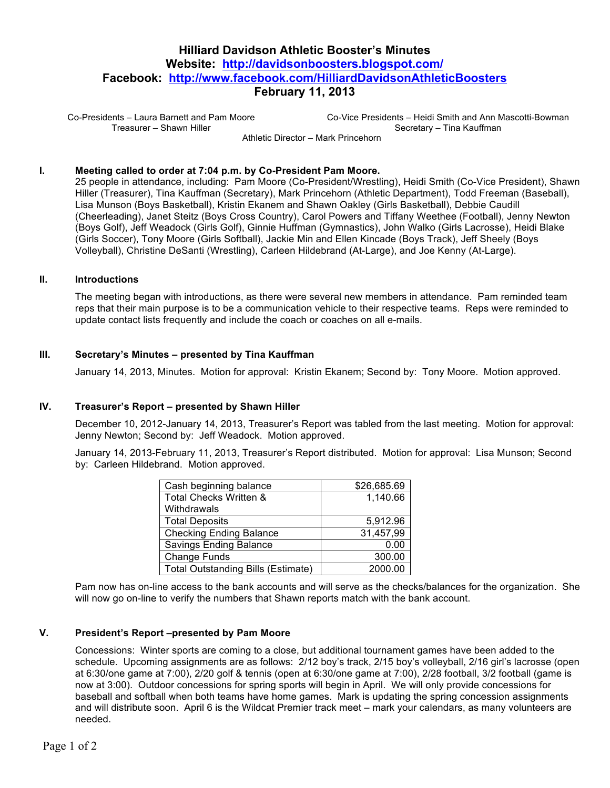# **Hilliard Davidson Athletic Booster's Minutes Website: http://davidsonboosters.blogspot.com/ Facebook: http://www.facebook.com/HilliardDavidsonAthleticBoosters February 11, 2013**

Co-Presidents – Laura Barnett and Pam Moore Treasurer – Shawn Hiller

Co-Vice Presidents – Heidi Smith and Ann Mascotti-Bowman Secretary – Tina Kauffman Athletic Director – Mark Princehorn

## **I. Meeting called to order at 7:04 p.m. by Co-President Pam Moore.**

25 people in attendance, including: Pam Moore (Co-President/Wrestling), Heidi Smith (Co-Vice President), Shawn Hiller (Treasurer), Tina Kauffman (Secretary), Mark Princehorn (Athletic Department), Todd Freeman (Baseball), Lisa Munson (Boys Basketball), Kristin Ekanem and Shawn Oakley (Girls Basketball), Debbie Caudill (Cheerleading), Janet Steitz (Boys Cross Country), Carol Powers and Tiffany Weethee (Football), Jenny Newton (Boys Golf), Jeff Weadock (Girls Golf), Ginnie Huffman (Gymnastics), John Walko (Girls Lacrosse), Heidi Blake (Girls Soccer), Tony Moore (Girls Softball), Jackie Min and Ellen Kincade (Boys Track), Jeff Sheely (Boys Volleyball), Christine DeSanti (Wrestling), Carleen Hildebrand (At-Large), and Joe Kenny (At-Large).

#### **II. Introductions**

The meeting began with introductions, as there were several new members in attendance. Pam reminded team reps that their main purpose is to be a communication vehicle to their respective teams. Reps were reminded to update contact lists frequently and include the coach or coaches on all e-mails.

#### **III. Secretary's Minutes – presented by Tina Kauffman**

January 14, 2013, Minutes. Motion for approval: Kristin Ekanem; Second by: Tony Moore. Motion approved.

## **IV. Treasurer's Report – presented by Shawn Hiller**

December 10, 2012-January 14, 2013, Treasurer's Report was tabled from the last meeting. Motion for approval: Jenny Newton; Second by: Jeff Weadock. Motion approved.

January 14, 2013-February 11, 2013, Treasurer's Report distributed. Motion for approval: Lisa Munson; Second by: Carleen Hildebrand. Motion approved.

| Cash beginning balance                    | \$26,685.69 |
|-------------------------------------------|-------------|
| Total Checks Written &                    | 1,140.66    |
| Withdrawals                               |             |
| <b>Total Deposits</b>                     | 5,912.96    |
| <b>Checking Ending Balance</b>            | 31,457,99   |
| Savings Ending Balance                    | 0.00        |
| Change Funds                              | 300.00      |
| <b>Total Outstanding Bills (Estimate)</b> | 2000.00     |

Pam now has on-line access to the bank accounts and will serve as the checks/balances for the organization. She will now go on-line to verify the numbers that Shawn reports match with the bank account.

#### **V. President's Report –presented by Pam Moore**

Concessions: Winter sports are coming to a close, but additional tournament games have been added to the schedule. Upcoming assignments are as follows: 2/12 boy's track, 2/15 boy's volleyball, 2/16 girl's lacrosse (open at 6:30/one game at 7:00), 2/20 golf & tennis (open at 6:30/one game at 7:00), 2/28 football, 3/2 football (game is now at 3:00). Outdoor concessions for spring sports will begin in April. We will only provide concessions for baseball and softball when both teams have home games. Mark is updating the spring concession assignments and will distribute soon. April 6 is the Wildcat Premier track meet – mark your calendars, as many volunteers are needed.